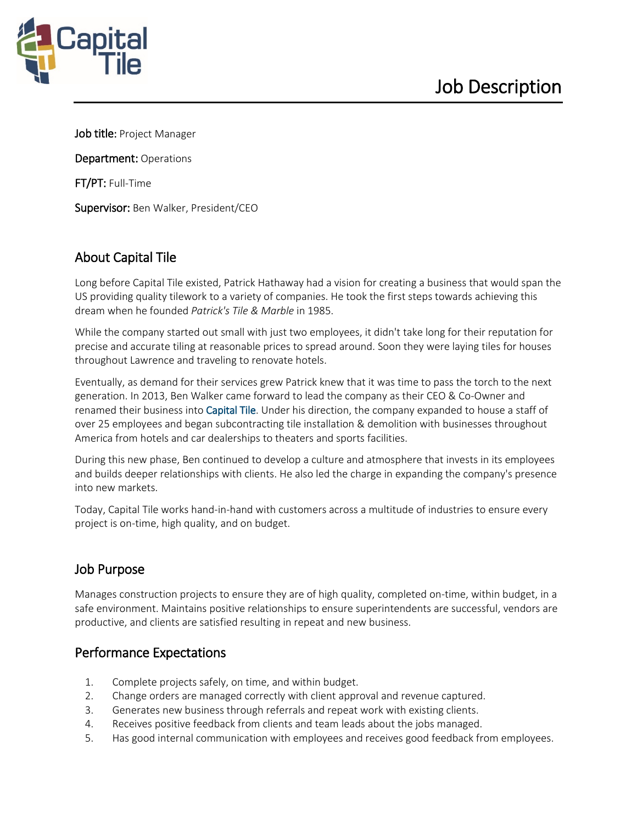

Job title: Project Manager

Department: Operations

FT/PT: Full-Time

Supervisor: Ben Walker, President/CEO

# About Capital Tile

Long before Capital Tile existed, Patrick Hathaway had a vision for creating a business that would span the US providing quality tilework to a variety of companies. He took the first steps towards achieving this dream when he founded *Patrick's Tile & Marble* in 1985.

While the company started out small with just two employees, it didn't take long for their reputation for precise and accurate tiling at reasonable prices to spread around. Soon they were laying tiles for houses throughout Lawrence and traveling to renovate hotels.

Eventually, as demand for their services grew Patrick knew that it was time to pass the torch to the next generation. In 2013, Ben Walker came forward to lead the company as their CEO & Co-Owner and renamed their business into Capital Tile. Under his direction, the company expanded to house a staff of over 25 employees and began subcontracting tile installation & demolition with businesses throughout America from hotels and car dealerships to theaters and sports facilities.

During this new phase, Ben continued to develop a culture and atmosphere that invests in its employees and builds deeper relationships with clients. He also led the charge in expanding the company's presence into new markets.

Today, Capital Tile works hand-in-hand with customers across a multitude of industries to ensure every project is on-time, high quality, and on budget.

## Job Purpose

Manages construction projects to ensure they are of high quality, completed on-time, within budget, in a safe environment. Maintains positive relationships to ensure superintendents are successful, vendors are productive, and clients are satisfied resulting in repeat and new business.

### Performance Expectations

- 1. Complete projects safely, on time, and within budget.
- 2. Change orders are managed correctly with client approval and revenue captured.
- 3. Generates new business through referrals and repeat work with existing clients.
- 4. Receives positive feedback from clients and team leads about the jobs managed.
- 5. Has good internal communication with employees and receives good feedback from employees.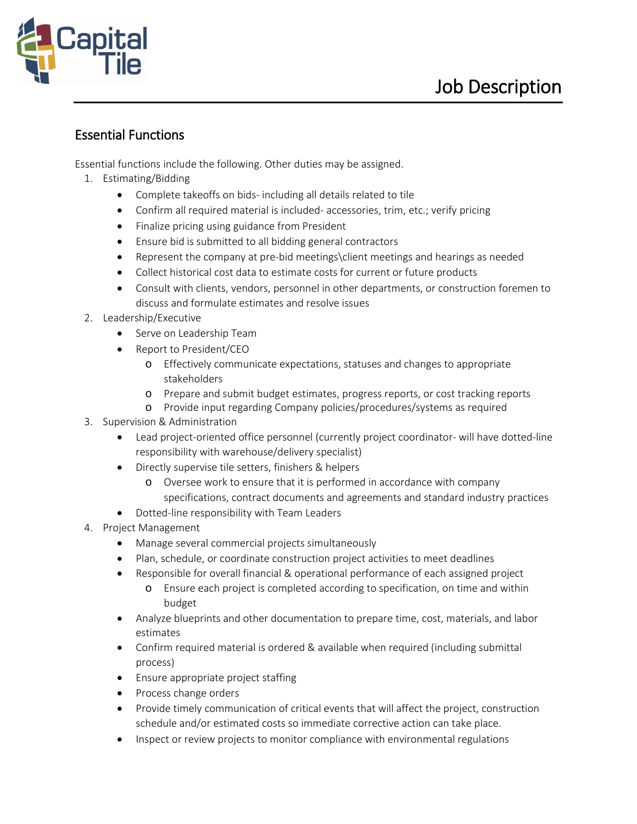

### Essential Functions

Essential functions include the following. Other duties may be assigned.

- 1. Estimating/Bidding
	- Complete takeoffs on bids- including all details related to tile
	- Confirm all required material is included- accessories, trim, etc.; verify pricing
	- Finalize pricing using guidance from President
	- Ensure bid is submitted to all bidding general contractors
	- Represent the company at pre-bid meetings\client meetings and hearings as needed
	- Collect historical cost data to estimate costs for current or future products
	- Consult with clients, vendors, personnel in other departments, or construction foremen to discuss and formulate estimates and resolve issues
- 2. Leadership/Executive
	- Serve on Leadership Team
	- Report to President/CEO
		- o Effectively communicate expectations, statuses and changes to appropriate stakeholders
		- o Prepare and submit budget estimates, progress reports, or cost tracking reports
		- o Provide input regarding Company policies/procedures/systems as required
- 3. Supervision & Administration
	- Lead project-oriented office personnel (currently project coordinator- will have dotted-line responsibility with warehouse/delivery specialist)
	- Directly supervise tile setters, finishers & helpers
		- o Oversee work to ensure that it is performed in accordance with company specifications, contract documents and agreements and standard industry practices
	- Dotted-line responsibility with Team Leaders
- 4. Project Management
	- Manage several commercial projects simultaneously
	- Plan, schedule, or coordinate construction project activities to meet deadlines
	- Responsible for overall financial & operational performance of each assigned project
		- o Ensure each project is completed according to specification, on time and within budget
	- Analyze blueprints and other documentation to prepare time, cost, materials, and labor estimates
	- Confirm required material is ordered & available when required (including submittal process)
	- Ensure appropriate project staffing
	- Process change orders
	- Provide timely communication of critical events that will affect the project, construction schedule and/or estimated costs so immediate corrective action can take place.
	- Inspect or review projects to monitor compliance with environmental regulations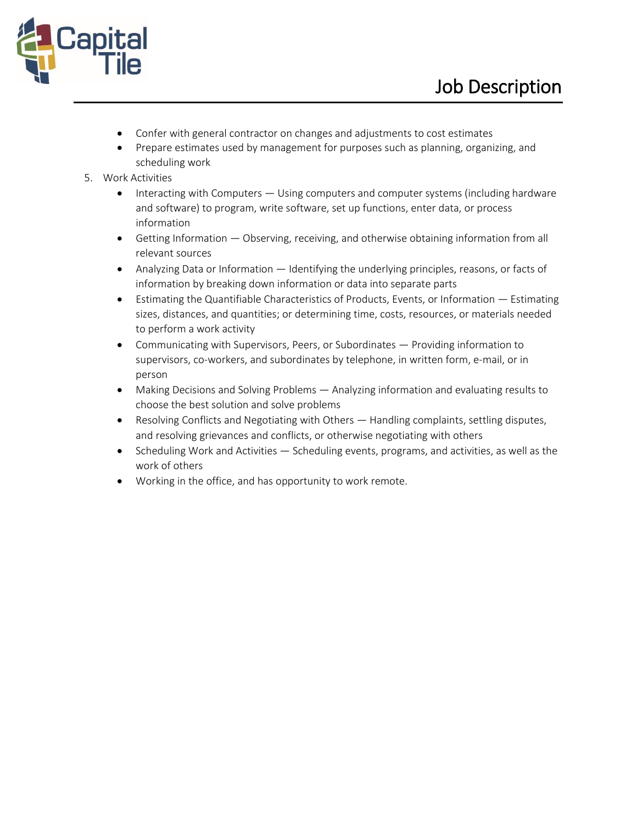

- Confer with general contractor on changes and adjustments to cost estimates
- Prepare estimates used by management for purposes such as planning, organizing, and scheduling work
- 5. Work Activities
	- Interacting with Computers Using computers and computer systems (including hardware and software) to program, write software, set up functions, enter data, or process information
	- Getting Information Observing, receiving, and otherwise obtaining information from all relevant sources
	- Analyzing Data or Information Identifying the underlying principles, reasons, or facts of information by breaking down information or data into separate parts
	- Estimating the Quantifiable Characteristics of Products, Events, or Information Estimating sizes, distances, and quantities; or determining time, costs, resources, or materials needed to perform a work activity
	- Communicating with Supervisors, Peers, or Subordinates Providing information to supervisors, co-workers, and subordinates by telephone, in written form, e-mail, or in person
	- Making Decisions and Solving Problems Analyzing information and evaluating results to choose the best solution and solve problems
	- Resolving Conflicts and Negotiating with Others Handling complaints, settling disputes, and resolving grievances and conflicts, or otherwise negotiating with others
	- Scheduling Work and Activities Scheduling events, programs, and activities, as well as the work of others
	- Working in the office, and has opportunity to work remote.